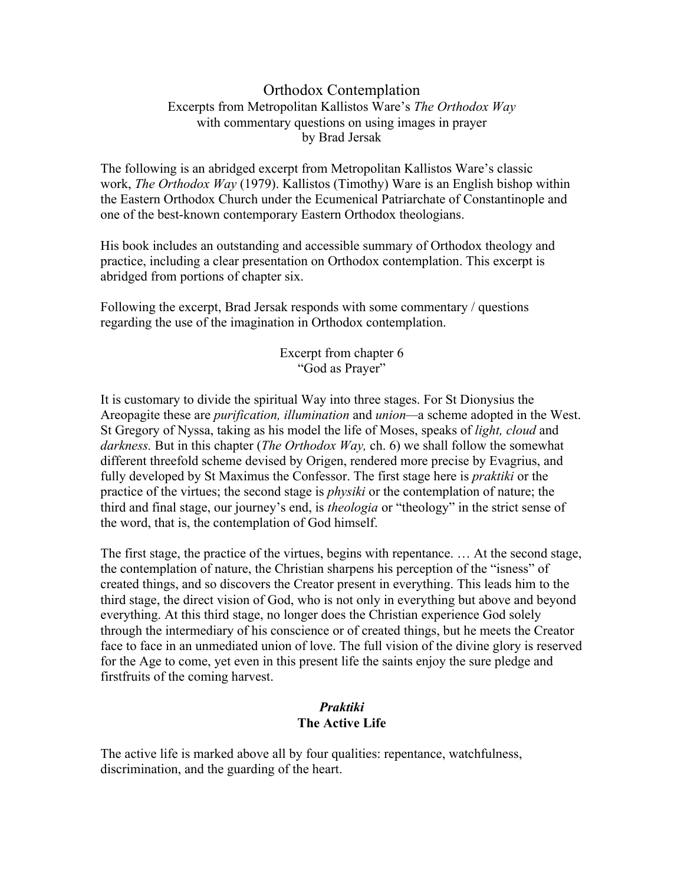# Orthodox Contemplation Excerpts from Metropolitan Kallistos Ware's *The Orthodox Way* with commentary questions on using images in prayer by Brad Jersak

The following is an abridged excerpt from Metropolitan Kallistos Ware's classic work, *The Orthodox Way* (1979). Kallistos (Timothy) Ware is an English bishop within the Eastern Orthodox Church under the Ecumenical Patriarchate of Constantinople and one of the best-known contemporary Eastern Orthodox theologians.

His book includes an outstanding and accessible summary of Orthodox theology and practice, including a clear presentation on Orthodox contemplation. This excerpt is abridged from portions of chapter six.

Following the excerpt, Brad Jersak responds with some commentary / questions regarding the use of the imagination in Orthodox contemplation.

> Excerpt from chapter 6 "God as Prayer"

It is customary to divide the spiritual Way into three stages. For St Dionysius the Areopagite these are *purification, illumination* and *union—*a scheme adopted in the West. St Gregory of Nyssa, taking as his model the life of Moses, speaks of *light, cloud* and *darkness.* But in this chapter (*The Orthodox Way,* ch. 6) we shall follow the somewhat different threefold scheme devised by Origen, rendered more precise by Evagrius, and fully developed by St Maximus the Confessor. The first stage here is *praktiki* or the practice of the virtues; the second stage is *physiki* or the contemplation of nature; the third and final stage, our journey's end, is *theologia* or "theology" in the strict sense of the word, that is, the contemplation of God himself.

The first stage, the practice of the virtues, begins with repentance. … At the second stage, the contemplation of nature, the Christian sharpens his perception of the "isness" of created things, and so discovers the Creator present in everything. This leads him to the third stage, the direct vision of God, who is not only in everything but above and beyond everything. At this third stage, no longer does the Christian experience God solely through the intermediary of his conscience or of created things, but he meets the Creator face to face in an unmediated union of love. The full vision of the divine glory is reserved for the Age to come, yet even in this present life the saints enjoy the sure pledge and firstfruits of the coming harvest.

### *Praktiki* **The Active Life**

The active life is marked above all by four qualities: repentance, watchfulness, discrimination, and the guarding of the heart.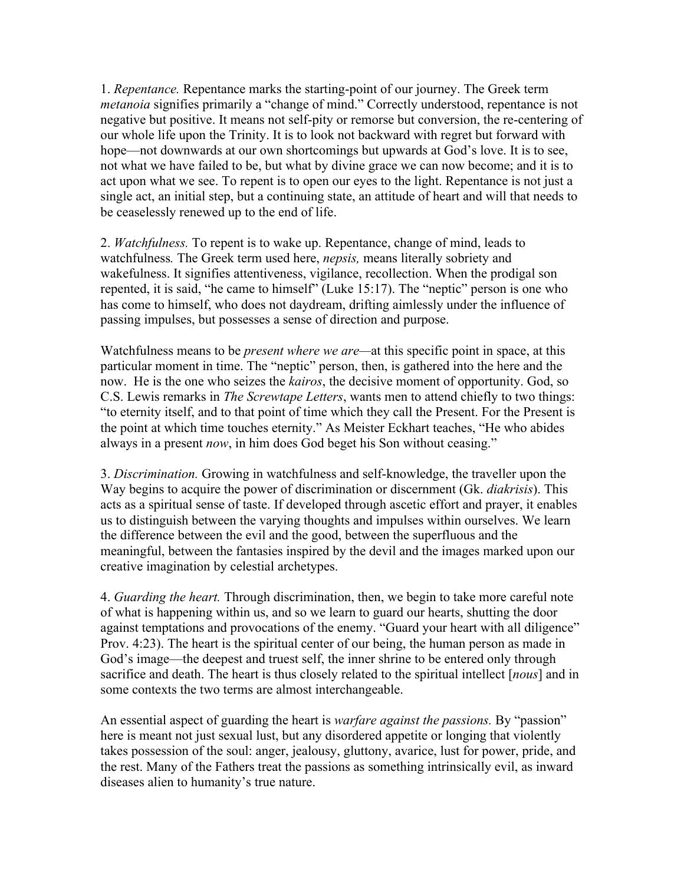1. *Repentance.* Repentance marks the starting-point of our journey. The Greek term *metanoia* signifies primarily a "change of mind." Correctly understood, repentance is not negative but positive. It means not self-pity or remorse but conversion, the re-centering of our whole life upon the Trinity. It is to look not backward with regret but forward with hope—not downwards at our own shortcomings but upwards at God's love. It is to see, not what we have failed to be, but what by divine grace we can now become; and it is to act upon what we see. To repent is to open our eyes to the light. Repentance is not just a single act, an initial step, but a continuing state, an attitude of heart and will that needs to be ceaselessly renewed up to the end of life.

2. *Watchfulness.* To repent is to wake up. Repentance, change of mind, leads to watchfulness*.* The Greek term used here, *nepsis,* means literally sobriety and wakefulness. It signifies attentiveness, vigilance, recollection. When the prodigal son repented, it is said, "he came to himself" (Luke 15:17). The "neptic" person is one who has come to himself, who does not daydream, drifting aimlessly under the influence of passing impulses, but possesses a sense of direction and purpose.

Watchfulness means to be *present where we are—*at this specific point in space, at this particular moment in time. The "neptic" person, then, is gathered into the here and the now. He is the one who seizes the *kairos*, the decisive moment of opportunity. God, so C.S. Lewis remarks in *The Screwtape Letters*, wants men to attend chiefly to two things: "to eternity itself, and to that point of time which they call the Present. For the Present is the point at which time touches eternity." As Meister Eckhart teaches, "He who abides always in a present *now*, in him does God beget his Son without ceasing."

3. *Discrimination.* Growing in watchfulness and self-knowledge, the traveller upon the Way begins to acquire the power of discrimination or discernment (Gk. *diakrisis*). This acts as a spiritual sense of taste. If developed through ascetic effort and prayer, it enables us to distinguish between the varying thoughts and impulses within ourselves. We learn the difference between the evil and the good, between the superfluous and the meaningful, between the fantasies inspired by the devil and the images marked upon our creative imagination by celestial archetypes.

4. *Guarding the heart.* Through discrimination, then, we begin to take more careful note of what is happening within us, and so we learn to guard our hearts, shutting the door against temptations and provocations of the enemy. "Guard your heart with all diligence" Prov. 4:23). The heart is the spiritual center of our being, the human person as made in God's image—the deepest and truest self, the inner shrine to be entered only through sacrifice and death. The heart is thus closely related to the spiritual intellect [*nous*] and in some contexts the two terms are almost interchangeable.

An essential aspect of guarding the heart is *warfare against the passions.* By "passion" here is meant not just sexual lust, but any disordered appetite or longing that violently takes possession of the soul: anger, jealousy, gluttony, avarice, lust for power, pride, and the rest. Many of the Fathers treat the passions as something intrinsically evil, as inward diseases alien to humanity's true nature.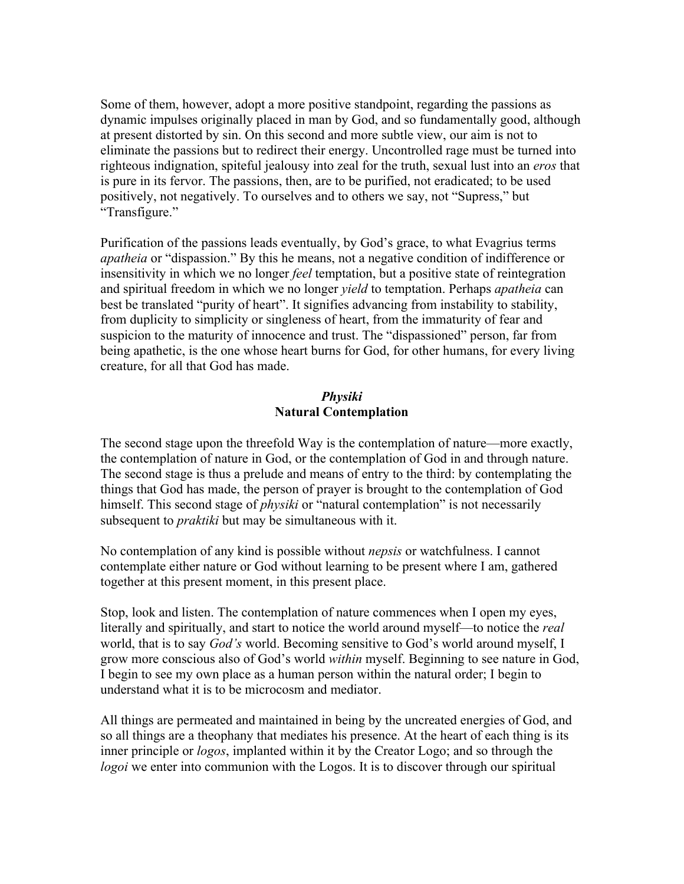Some of them, however, adopt a more positive standpoint, regarding the passions as dynamic impulses originally placed in man by God, and so fundamentally good, although at present distorted by sin. On this second and more subtle view, our aim is not to eliminate the passions but to redirect their energy. Uncontrolled rage must be turned into righteous indignation, spiteful jealousy into zeal for the truth, sexual lust into an *eros* that is pure in its fervor. The passions, then, are to be purified, not eradicated; to be used positively, not negatively. To ourselves and to others we say, not "Supress," but "Transfigure."

Purification of the passions leads eventually, by God's grace, to what Evagrius terms *apatheia* or "dispassion." By this he means, not a negative condition of indifference or insensitivity in which we no longer *feel* temptation, but a positive state of reintegration and spiritual freedom in which we no longer *yield* to temptation. Perhaps *apatheia* can best be translated "purity of heart". It signifies advancing from instability to stability, from duplicity to simplicity or singleness of heart, from the immaturity of fear and suspicion to the maturity of innocence and trust. The "dispassioned" person, far from being apathetic, is the one whose heart burns for God, for other humans, for every living creature, for all that God has made.

#### *Physiki* **Natural Contemplation**

The second stage upon the threefold Way is the contemplation of nature—more exactly, the contemplation of nature in God, or the contemplation of God in and through nature. The second stage is thus a prelude and means of entry to the third: by contemplating the things that God has made, the person of prayer is brought to the contemplation of God himself. This second stage of *physiki* or "natural contemplation" is not necessarily subsequent to *praktiki* but may be simultaneous with it.

No contemplation of any kind is possible without *nepsis* or watchfulness. I cannot contemplate either nature or God without learning to be present where I am, gathered together at this present moment, in this present place.

Stop, look and listen. The contemplation of nature commences when I open my eyes, literally and spiritually, and start to notice the world around myself—to notice the *real* world, that is to say *God's* world. Becoming sensitive to God's world around myself, I grow more conscious also of God's world *within* myself. Beginning to see nature in God, I begin to see my own place as a human person within the natural order; I begin to understand what it is to be microcosm and mediator.

All things are permeated and maintained in being by the uncreated energies of God, and so all things are a theophany that mediates his presence. At the heart of each thing is its inner principle or *logos*, implanted within it by the Creator Logo; and so through the *logoi* we enter into communion with the Logos. It is to discover through our spiritual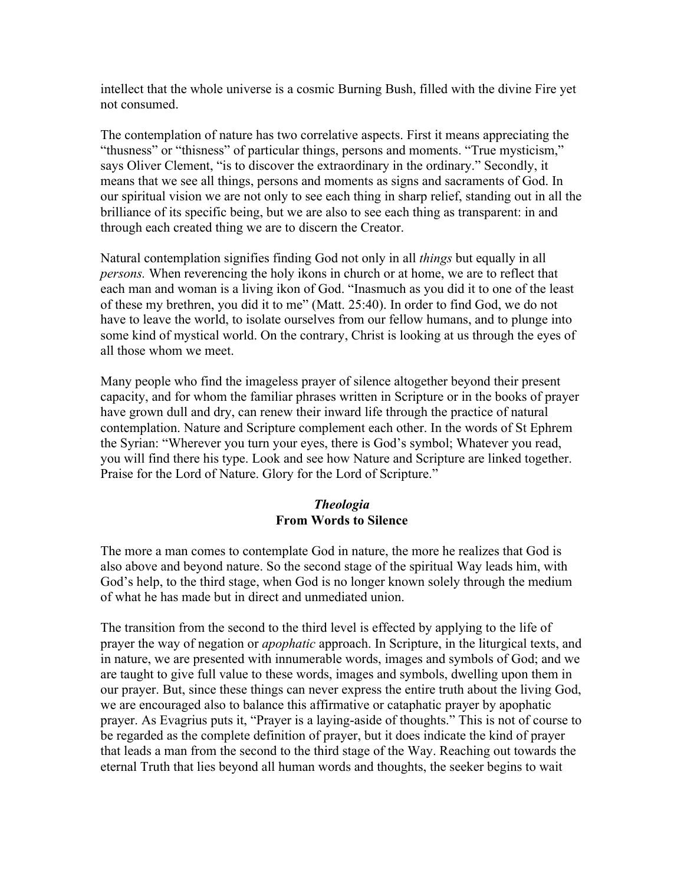intellect that the whole universe is a cosmic Burning Bush, filled with the divine Fire yet not consumed.

The contemplation of nature has two correlative aspects. First it means appreciating the "thusness" or "thisness" of particular things, persons and moments. "True mysticism," says Oliver Clement, "is to discover the extraordinary in the ordinary." Secondly, it means that we see all things, persons and moments as signs and sacraments of God. In our spiritual vision we are not only to see each thing in sharp relief, standing out in all the brilliance of its specific being, but we are also to see each thing as transparent: in and through each created thing we are to discern the Creator.

Natural contemplation signifies finding God not only in all *things* but equally in all *persons.* When reverencing the holy ikons in church or at home, we are to reflect that each man and woman is a living ikon of God. "Inasmuch as you did it to one of the least of these my brethren, you did it to me" (Matt. 25:40). In order to find God, we do not have to leave the world, to isolate ourselves from our fellow humans, and to plunge into some kind of mystical world. On the contrary, Christ is looking at us through the eyes of all those whom we meet.

Many people who find the imageless prayer of silence altogether beyond their present capacity, and for whom the familiar phrases written in Scripture or in the books of prayer have grown dull and dry, can renew their inward life through the practice of natural contemplation. Nature and Scripture complement each other. In the words of St Ephrem the Syrian: "Wherever you turn your eyes, there is God's symbol; Whatever you read, you will find there his type. Look and see how Nature and Scripture are linked together. Praise for the Lord of Nature. Glory for the Lord of Scripture."

## *Theologia* **From Words to Silence**

The more a man comes to contemplate God in nature, the more he realizes that God is also above and beyond nature. So the second stage of the spiritual Way leads him, with God's help, to the third stage, when God is no longer known solely through the medium of what he has made but in direct and unmediated union.

The transition from the second to the third level is effected by applying to the life of prayer the way of negation or *apophatic* approach. In Scripture, in the liturgical texts, and in nature, we are presented with innumerable words, images and symbols of God; and we are taught to give full value to these words, images and symbols, dwelling upon them in our prayer. But, since these things can never express the entire truth about the living God, we are encouraged also to balance this affirmative or cataphatic prayer by apophatic prayer. As Evagrius puts it, "Prayer is a laying-aside of thoughts." This is not of course to be regarded as the complete definition of prayer, but it does indicate the kind of prayer that leads a man from the second to the third stage of the Way. Reaching out towards the eternal Truth that lies beyond all human words and thoughts, the seeker begins to wait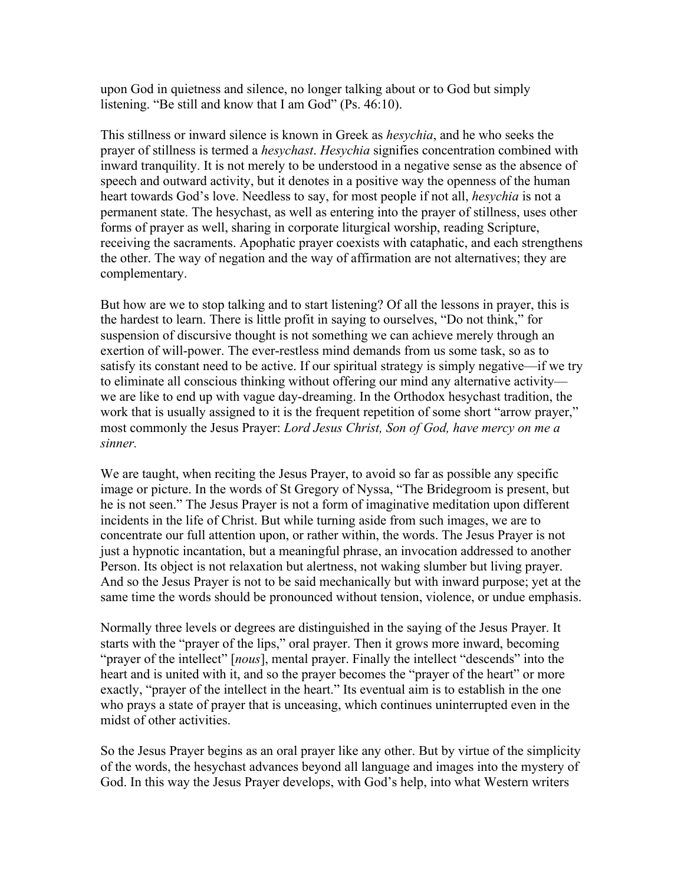upon God in quietness and silence, no longer talking about or to God but simply listening. "Be still and know that I am God" (Ps. 46:10).

This stillness or inward silence is known in Greek as *hesychia*, and he who seeks the prayer of stillness is termed a *hesychast*. *Hesychia* signifies concentration combined with inward tranquility. It is not merely to be understood in a negative sense as the absence of speech and outward activity, but it denotes in a positive way the openness of the human heart towards God's love. Needless to say, for most people if not all, *hesychia* is not a permanent state. The hesychast, as well as entering into the prayer of stillness, uses other forms of prayer as well, sharing in corporate liturgical worship, reading Scripture, receiving the sacraments. Apophatic prayer coexists with cataphatic, and each strengthens the other. The way of negation and the way of affirmation are not alternatives; they are complementary.

But how are we to stop talking and to start listening? Of all the lessons in prayer, this is the hardest to learn. There is little profit in saying to ourselves, "Do not think," for suspension of discursive thought is not something we can achieve merely through an exertion of will-power. The ever-restless mind demands from us some task, so as to satisfy its constant need to be active. If our spiritual strategy is simply negative—if we try to eliminate all conscious thinking without offering our mind any alternative activity we are like to end up with vague day-dreaming. In the Orthodox hesychast tradition, the work that is usually assigned to it is the frequent repetition of some short "arrow prayer," most commonly the Jesus Prayer: *Lord Jesus Christ, Son of God, have mercy on me a sinner.*

We are taught, when reciting the Jesus Prayer, to avoid so far as possible any specific image or picture. In the words of St Gregory of Nyssa, "The Bridegroom is present, but he is not seen." The Jesus Prayer is not a form of imaginative meditation upon different incidents in the life of Christ. But while turning aside from such images, we are to concentrate our full attention upon, or rather within, the words. The Jesus Prayer is not just a hypnotic incantation, but a meaningful phrase, an invocation addressed to another Person. Its object is not relaxation but alertness, not waking slumber but living prayer. And so the Jesus Prayer is not to be said mechanically but with inward purpose; yet at the same time the words should be pronounced without tension, violence, or undue emphasis.

Normally three levels or degrees are distinguished in the saying of the Jesus Prayer. It starts with the "prayer of the lips," oral prayer. Then it grows more inward, becoming "prayer of the intellect" [*nous*], mental prayer. Finally the intellect "descends" into the heart and is united with it, and so the prayer becomes the "prayer of the heart" or more exactly, "prayer of the intellect in the heart." Its eventual aim is to establish in the one who prays a state of prayer that is unceasing, which continues uninterrupted even in the midst of other activities.

So the Jesus Prayer begins as an oral prayer like any other. But by virtue of the simplicity of the words, the hesychast advances beyond all language and images into the mystery of God. In this way the Jesus Prayer develops, with God's help, into what Western writers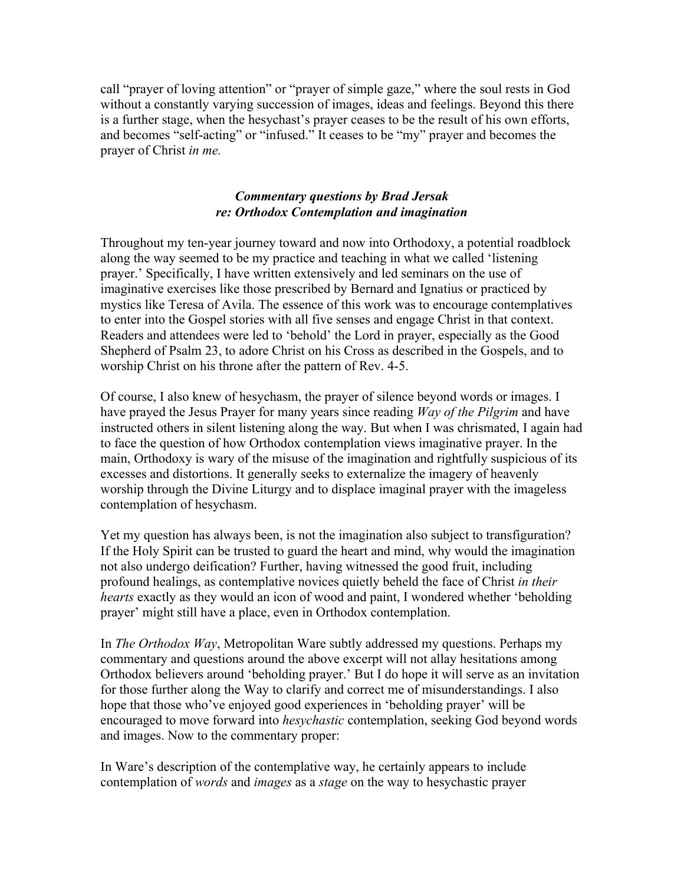call "prayer of loving attention" or "prayer of simple gaze," where the soul rests in God without a constantly varying succession of images, ideas and feelings. Beyond this there is a further stage, when the hesychast's prayer ceases to be the result of his own efforts, and becomes "self-acting" or "infused." It ceases to be "my" prayer and becomes the prayer of Christ *in me.*

#### *Commentary questions by Brad Jersak re: Orthodox Contemplation and imagination*

Throughout my ten-year journey toward and now into Orthodoxy, a potential roadblock along the way seemed to be my practice and teaching in what we called 'listening prayer.' Specifically, I have written extensively and led seminars on the use of imaginative exercises like those prescribed by Bernard and Ignatius or practiced by mystics like Teresa of Avila. The essence of this work was to encourage contemplatives to enter into the Gospel stories with all five senses and engage Christ in that context. Readers and attendees were led to 'behold' the Lord in prayer, especially as the Good Shepherd of Psalm 23, to adore Christ on his Cross as described in the Gospels, and to worship Christ on his throne after the pattern of Rev. 4-5.

Of course, I also knew of hesychasm, the prayer of silence beyond words or images. I have prayed the Jesus Prayer for many years since reading *Way of the Pilgrim* and have instructed others in silent listening along the way. But when I was chrismated, I again had to face the question of how Orthodox contemplation views imaginative prayer. In the main, Orthodoxy is wary of the misuse of the imagination and rightfully suspicious of its excesses and distortions. It generally seeks to externalize the imagery of heavenly worship through the Divine Liturgy and to displace imaginal prayer with the imageless contemplation of hesychasm.

Yet my question has always been, is not the imagination also subject to transfiguration? If the Holy Spirit can be trusted to guard the heart and mind, why would the imagination not also undergo deification? Further, having witnessed the good fruit, including profound healings, as contemplative novices quietly beheld the face of Christ *in their hearts* exactly as they would an icon of wood and paint, I wondered whether 'beholding prayer' might still have a place, even in Orthodox contemplation.

In *The Orthodox Way*, Metropolitan Ware subtly addressed my questions. Perhaps my commentary and questions around the above excerpt will not allay hesitations among Orthodox believers around 'beholding prayer.' But I do hope it will serve as an invitation for those further along the Way to clarify and correct me of misunderstandings. I also hope that those who've enjoyed good experiences in 'beholding prayer' will be encouraged to move forward into *hesychastic* contemplation, seeking God beyond words and images. Now to the commentary proper:

In Ware's description of the contemplative way, he certainly appears to include contemplation of *words* and *images* as a *stage* on the way to hesychastic prayer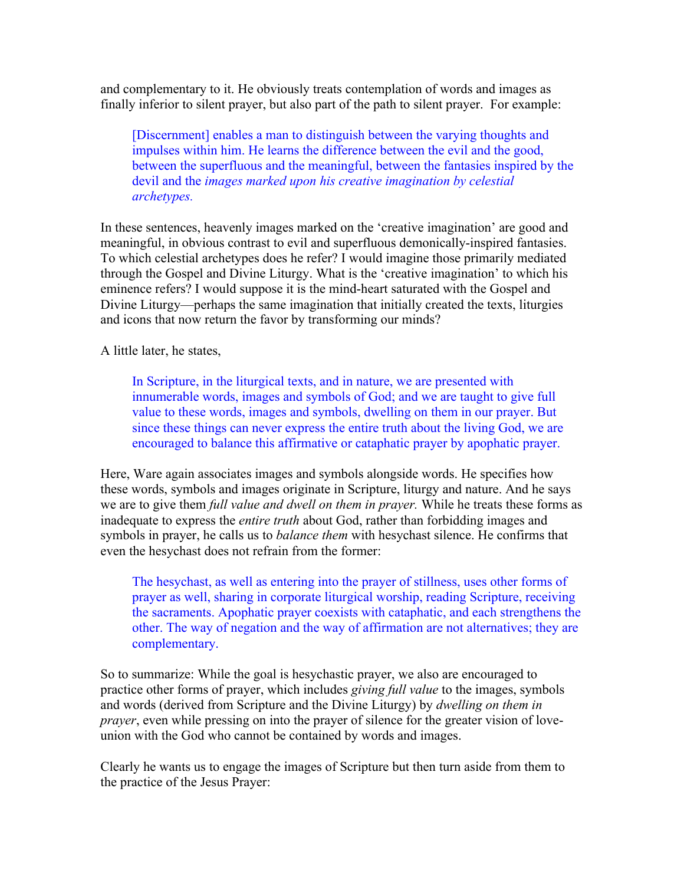and complementary to it. He obviously treats contemplation of words and images as finally inferior to silent prayer, but also part of the path to silent prayer. For example:

[Discernment] enables a man to distinguish between the varying thoughts and impulses within him. He learns the difference between the evil and the good, between the superfluous and the meaningful, between the fantasies inspired by the devil and the *images marked upon his creative imagination by celestial archetypes.*

In these sentences, heavenly images marked on the 'creative imagination' are good and meaningful, in obvious contrast to evil and superfluous demonically-inspired fantasies. To which celestial archetypes does he refer? I would imagine those primarily mediated through the Gospel and Divine Liturgy. What is the 'creative imagination' to which his eminence refers? I would suppose it is the mind-heart saturated with the Gospel and Divine Liturgy—perhaps the same imagination that initially created the texts, liturgies and icons that now return the favor by transforming our minds?

A little later, he states,

In Scripture, in the liturgical texts, and in nature, we are presented with innumerable words, images and symbols of God; and we are taught to give full value to these words, images and symbols, dwelling on them in our prayer. But since these things can never express the entire truth about the living God, we are encouraged to balance this affirmative or cataphatic prayer by apophatic prayer.

Here, Ware again associates images and symbols alongside words. He specifies how these words, symbols and images originate in Scripture, liturgy and nature. And he says we are to give them *full value and dwell on them in prayer.* While he treats these forms as inadequate to express the *entire truth* about God, rather than forbidding images and symbols in prayer, he calls us to *balance them* with hesychast silence. He confirms that even the hesychast does not refrain from the former:

The hesychast, as well as entering into the prayer of stillness, uses other forms of prayer as well, sharing in corporate liturgical worship, reading Scripture, receiving the sacraments. Apophatic prayer coexists with cataphatic, and each strengthens the other. The way of negation and the way of affirmation are not alternatives; they are complementary.

So to summarize: While the goal is hesychastic prayer, we also are encouraged to practice other forms of prayer, which includes *giving full value* to the images, symbols and words (derived from Scripture and the Divine Liturgy) by *dwelling on them in prayer*, even while pressing on into the prayer of silence for the greater vision of loveunion with the God who cannot be contained by words and images.

Clearly he wants us to engage the images of Scripture but then turn aside from them to the practice of the Jesus Prayer: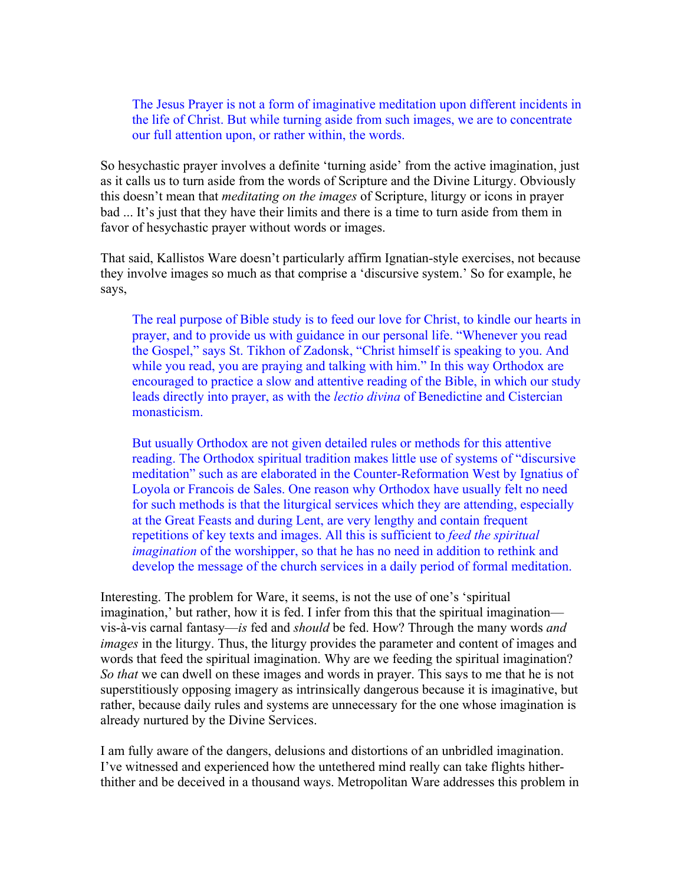The Jesus Prayer is not a form of imaginative meditation upon different incidents in the life of Christ. But while turning aside from such images, we are to concentrate our full attention upon, or rather within, the words.

So hesychastic prayer involves a definite 'turning aside' from the active imagination, just as it calls us to turn aside from the words of Scripture and the Divine Liturgy. Obviously this doesn't mean that *meditating on the images* of Scripture, liturgy or icons in prayer bad ... It's just that they have their limits and there is a time to turn aside from them in favor of hesychastic prayer without words or images.

That said, Kallistos Ware doesn't particularly affirm Ignatian-style exercises, not because they involve images so much as that comprise a 'discursive system.' So for example, he says,

The real purpose of Bible study is to feed our love for Christ, to kindle our hearts in prayer, and to provide us with guidance in our personal life. "Whenever you read the Gospel," says St. Tikhon of Zadonsk, "Christ himself is speaking to you. And while you read, you are praying and talking with him." In this way Orthodox are encouraged to practice a slow and attentive reading of the Bible, in which our study leads directly into prayer, as with the *lectio divina* of Benedictine and Cistercian monasticism.

But usually Orthodox are not given detailed rules or methods for this attentive reading. The Orthodox spiritual tradition makes little use of systems of "discursive meditation" such as are elaborated in the Counter-Reformation West by Ignatius of Loyola or Francois de Sales. One reason why Orthodox have usually felt no need for such methods is that the liturgical services which they are attending, especially at the Great Feasts and during Lent, are very lengthy and contain frequent repetitions of key texts and images. All this is sufficient to *feed the spiritual imagination* of the worshipper, so that he has no need in addition to rethink and develop the message of the church services in a daily period of formal meditation.

Interesting. The problem for Ware, it seems, is not the use of one's 'spiritual imagination,' but rather, how it is fed. I infer from this that the spiritual imagination vis-à-vis carnal fantasy—*is* fed and *should* be fed. How? Through the many words *and images* in the liturgy. Thus, the liturgy provides the parameter and content of images and words that feed the spiritual imagination. Why are we feeding the spiritual imagination? *So that* we can dwell on these images and words in prayer. This says to me that he is not superstitiously opposing imagery as intrinsically dangerous because it is imaginative, but rather, because daily rules and systems are unnecessary for the one whose imagination is already nurtured by the Divine Services.

I am fully aware of the dangers, delusions and distortions of an unbridled imagination. I've witnessed and experienced how the untethered mind really can take flights hitherthither and be deceived in a thousand ways. Metropolitan Ware addresses this problem in